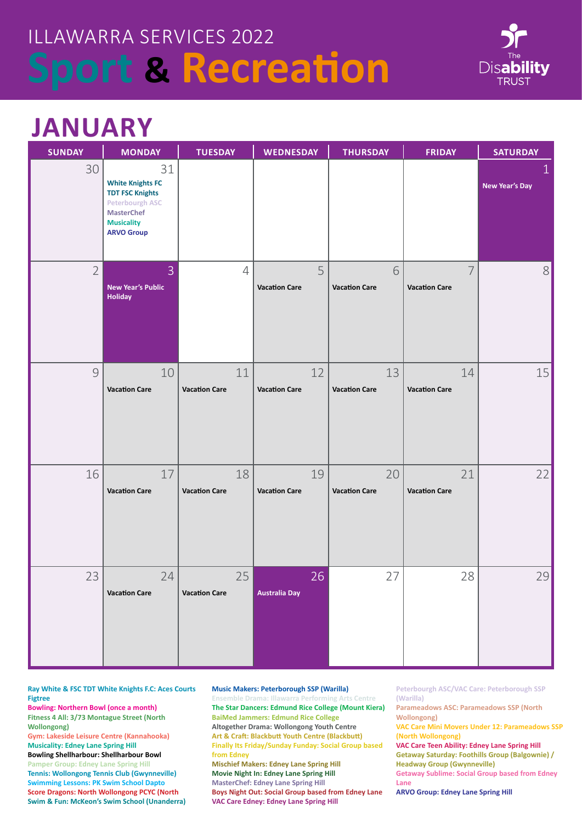

## **JANUARY**

| <b>SUNDAY</b>  | <b>MONDAY</b>                                                                                                                                    | <b>TUESDAY</b>             | <b>WEDNESDAY</b>           | <b>THURSDAY</b>            | <b>FRIDAY</b>              | <b>SATURDAY</b>                       |
|----------------|--------------------------------------------------------------------------------------------------------------------------------------------------|----------------------------|----------------------------|----------------------------|----------------------------|---------------------------------------|
| 30             | 31<br><b>White Knights FC</b><br><b>TDT FSC Knights</b><br><b>Peterbourgh ASC</b><br><b>MasterChef</b><br><b>Musicality</b><br><b>ARVO Group</b> |                            |                            |                            |                            | $\mathbf{1}$<br><b>New Year's Day</b> |
| $\overline{2}$ | 3<br><b>New Year's Public</b><br><b>Holiday</b>                                                                                                  | $\overline{4}$             | 5<br><b>Vacation Care</b>  | 6<br><b>Vacation Care</b>  | 7<br><b>Vacation Care</b>  | 8 <sup>1</sup>                        |
| $\mathcal{G}$  | 10<br><b>Vacation Care</b>                                                                                                                       | 11<br><b>Vacation Care</b> | 12<br><b>Vacation Care</b> | 13<br><b>Vacation Care</b> | 14<br><b>Vacation Care</b> | 15                                    |
| 16             | 17<br><b>Vacation Care</b>                                                                                                                       | 18<br><b>Vacation Care</b> | 19<br><b>Vacation Care</b> | 20<br><b>Vacation Care</b> | 21<br><b>Vacation Care</b> | 22                                    |
| 23             | 24<br><b>Vacation Care</b>                                                                                                                       | 25<br><b>Vacation Care</b> | 26<br><b>Australia Day</b> | 27                         | 28                         | 29                                    |

**Ray White & FSC TDT White Knights F.C: Aces Courts Figtree**

**Bowling: Northern Bowl (once a month) Fitness 4 All: 3/73 Montague Street (North Wollongong)** 

**Gym: Lakeside Leisure Centre (Kannahooka) Musicality: Edney Lane Spring Hill** 

**Bowling Shellharbour: Shellharbour Bowl Pamper Group: Edney Lane Spring Hill Tennis: Wollongong Tennis Club (Gwynneville) Swimming Lessons: PK Swim School Dapto Score Dragons: North Wollongong PCYC (North Swim & Fun: McKeon's Swim School (Unanderra)** **Music Makers: Peterborough SSP (Warilla)**

**VAC Care Edney: Edney Lane Spring Hill**

**Ensemble Drama: Illawarra Performing Arts Centre The Star Dancers: Edmund Rice College (Mount Kiera) BaiMed Jammers: Edmund Rice College Altogether Drama: Wollongong Youth Centre Art & Craft: Blackbutt Youth Centre (Blackbutt) Finally Its Friday/Sunday Funday: Social Group based from Edney Mischief Makers: Edney Lane Spring Hill Movie Night In: Edney Lane Spring Hill MasterChef: Edney Lane Spring Hill Boys Night Out: Social Group based from Edney Lane**

**Peterbourgh ASC/VAC Care: Peterborough SSP (Warilla)**

**Parameadows ASC: Parameadows SSP (North Wollongong)** 

**VAC Care Mini Movers Under 12: Parameadows SSP (North Wollongong)**

**VAC Care Teen Ability: Edney Lane Spring Hill Getaway Saturday: Foothills Group (Balgownie) / Headway Group (Gwynneville)**

**Getaway Sublime: Social Group based from Edney Lane**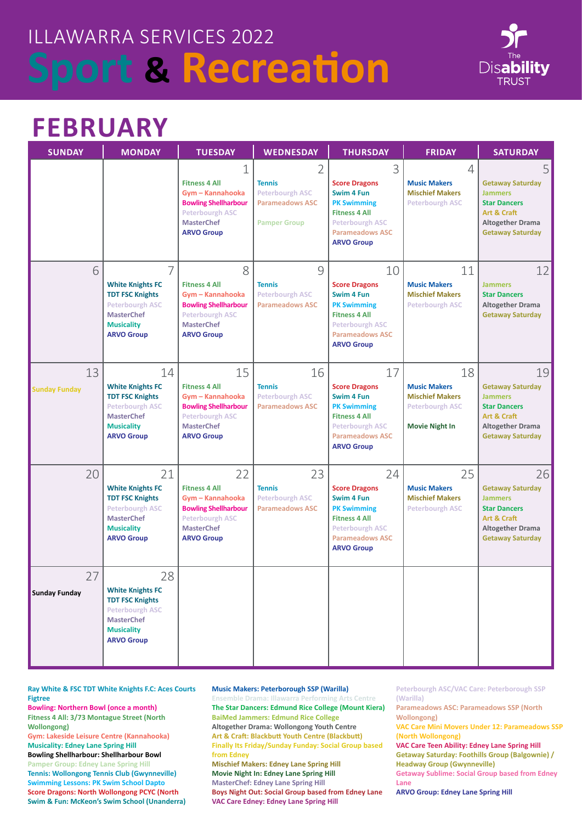

### **FEBRUARY**

| <b>SUNDAY</b>              | <b>MONDAY</b>                                                                                                                                    | <b>TUESDAY</b>                                                                                                                                    | <b>WEDNESDAY</b>                                                                              | <b>THURSDAY</b>                                                                                                                                                 | <b>FRIDAY</b>                                                                                          | <b>SATURDAY</b>                                                                                                                             |
|----------------------------|--------------------------------------------------------------------------------------------------------------------------------------------------|---------------------------------------------------------------------------------------------------------------------------------------------------|-----------------------------------------------------------------------------------------------|-----------------------------------------------------------------------------------------------------------------------------------------------------------------|--------------------------------------------------------------------------------------------------------|---------------------------------------------------------------------------------------------------------------------------------------------|
|                            |                                                                                                                                                  | 1<br><b>Fitness 4 All</b><br>Gym - Kannahooka<br><b>Bowling Shellharbour</b><br><b>Peterbourgh ASC</b><br><b>MasterChef</b><br><b>ARVO Group</b>  | 2<br><b>Tennis</b><br><b>Peterbourgh ASC</b><br><b>Parameadows ASC</b><br><b>Pamper Group</b> | 3<br><b>Score Dragons</b><br>Swim 4 Fun<br><b>PK Swimming</b><br><b>Fitness 4 All</b><br><b>Peterbourgh ASC</b><br><b>Parameadows ASC</b><br><b>ARVO Group</b>  | $\overline{4}$<br><b>Music Makers</b><br><b>Mischief Makers</b><br><b>Peterbourgh ASC</b>              | 5<br><b>Getaway Saturday</b><br><b>Jammers</b><br><b>Star Dancers</b><br>Art & Craft<br><b>Altogether Drama</b><br><b>Getaway Saturday</b>  |
| 6                          | 7<br><b>White Knights FC</b><br><b>TDT FSC Knights</b><br><b>Peterbourgh ASC</b><br><b>MasterChef</b><br><b>Musicality</b><br><b>ARVO Group</b>  | 8<br><b>Fitness 4 All</b><br>Gym - Kannahooka<br><b>Bowling Shellharbour</b><br><b>Peterbourgh ASC</b><br><b>MasterChef</b><br><b>ARVO Group</b>  | 9<br><b>Tennis</b><br><b>Peterbourgh ASC</b><br><b>Parameadows ASC</b>                        | 10<br><b>Score Dragons</b><br>Swim 4 Fun<br><b>PK Swimming</b><br><b>Fitness 4 All</b><br><b>Peterbourgh ASC</b><br><b>Parameadows ASC</b><br><b>ARVO Group</b> | 11<br><b>Music Makers</b><br><b>Mischief Makers</b><br><b>Peterbourgh ASC</b>                          | 12<br><b>Jammers</b><br><b>Star Dancers</b><br><b>Altogether Drama</b><br><b>Getaway Saturday</b>                                           |
| 13<br><b>Sunday Funday</b> | 14<br><b>White Knights FC</b><br><b>TDT FSC Knights</b><br><b>Peterbourgh ASC</b><br><b>MasterChef</b><br><b>Musicality</b><br><b>ARVO Group</b> | 15<br><b>Fitness 4 All</b><br>Gym - Kannahooka<br><b>Bowling Shellharbour</b><br><b>Peterbourgh ASC</b><br><b>MasterChef</b><br><b>ARVO Group</b> | 16<br><b>Tennis</b><br><b>Peterbourgh ASC</b><br><b>Parameadows ASC</b>                       | 17<br><b>Score Dragons</b><br>Swim 4 Fun<br><b>PK Swimming</b><br><b>Fitness 4 All</b><br><b>Peterbourgh ASC</b><br><b>Parameadows ASC</b><br><b>ARVO Group</b> | 18<br><b>Music Makers</b><br><b>Mischief Makers</b><br><b>Peterbourgh ASC</b><br><b>Movie Night In</b> | 19<br><b>Getaway Saturday</b><br><b>Jammers</b><br><b>Star Dancers</b><br>Art & Craft<br><b>Altogether Drama</b><br><b>Getaway Saturday</b> |
| 20                         | 21<br><b>White Knights FC</b><br><b>TDT FSC Knights</b><br><b>Peterbourgh ASC</b><br><b>MasterChef</b><br><b>Musicality</b><br><b>ARVO Group</b> | 22<br><b>Fitness 4 All</b><br>Gym - Kannahooka<br><b>Bowling Shellharbour</b><br><b>Peterbourgh ASC</b><br><b>MasterChef</b><br><b>ARVO Group</b> | 23<br><b>Tennis</b><br><b>Peterbourgh ASC</b><br><b>Parameadows ASC</b>                       | 24<br><b>Score Dragons</b><br>Swim 4 Fun<br><b>PK Swimming</b><br><b>Fitness 4 All</b><br><b>Peterbourgh ASC</b><br><b>Parameadows ASC</b><br><b>ARVO Group</b> | 25<br><b>Music Makers</b><br><b>Mischief Makers</b><br><b>Peterbourgh ASC</b>                          | 26<br><b>Getaway Saturday</b><br><b>Jammers</b><br><b>Star Dancers</b><br>Art & Craft<br><b>Altogether Drama</b><br><b>Getaway Saturday</b> |
| 27<br><b>Sunday Funday</b> | 28<br><b>White Knights FC</b><br><b>TDT FSC Knights</b><br><b>Peterbourgh ASC</b><br><b>MasterChef</b><br><b>Musicality</b><br><b>ARVO Group</b> |                                                                                                                                                   |                                                                                               |                                                                                                                                                                 |                                                                                                        |                                                                                                                                             |

**Ray White & FSC TDT White Knights F.C: Aces Courts Figtree**

**Bowling: Northern Bowl (once a month) Fitness 4 All: 3/73 Montague Street (North Wollongong)** 

**Gym: Lakeside Leisure Centre (Kannahooka) Musicality: Edney Lane Spring Hill** 

**Bowling Shellharbour: Shellharbour Bowl Pamper Group: Edney Lane Spring Hill Tennis: Wollongong Tennis Club (Gwynneville) Swimming Lessons: PK Swim School Dapto Score Dragons: North Wollongong PCYC (North Swim & Fun: McKeon's Swim School (Unanderra)**

#### **Music Makers: Peterborough SSP (Warilla)**

**Ensemble Drama: Illawarra Performing Arts Centre The Star Dancers: Edmund Rice College (Mount Kiera) BaiMed Jammers: Edmund Rice College Altogether Drama: Wollongong Youth Centre Art & Craft: Blackbutt Youth Centre (Blackbutt) Finally Its Friday/Sunday Funday: Social Group based from Edney Mischief Makers: Edney Lane Spring Hill Movie Night In: Edney Lane Spring Hill MasterChef: Edney Lane Spring Hill Boys Night Out: Social Group based from Edney Lane VAC Care Edney: Edney Lane Spring Hill**

**Peterbourgh ASC/VAC Care: Peterborough SSP (Warilla)**

**Parameadows ASC: Parameadows SSP (North Wollongong)** 

**VAC Care Mini Movers Under 12: Parameadows SSP (North Wollongong)**

**VAC Care Teen Ability: Edney Lane Spring Hill Getaway Saturday: Foothills Group (Balgownie) / Headway Group (Gwynneville)**

**Getaway Sublime: Social Group based from Edney Lane**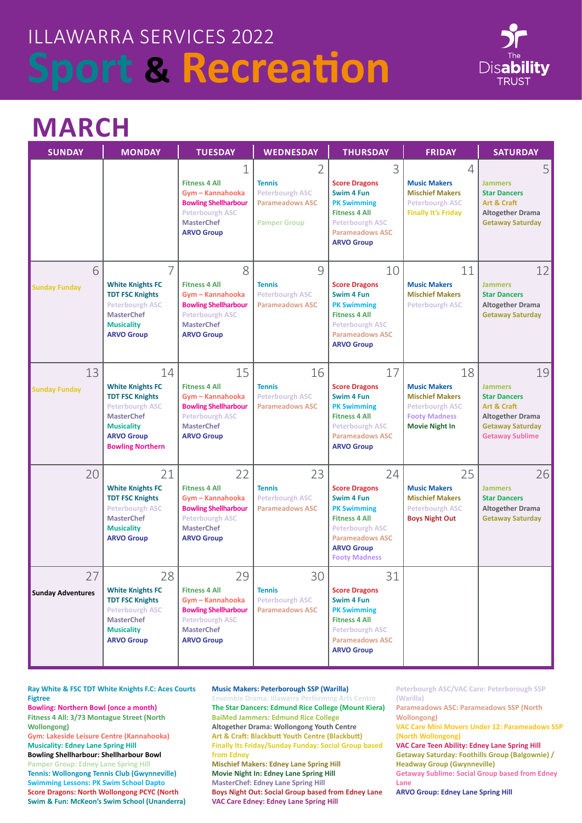

## **MARCH**

| <b>SUNDAY</b>                  | <b>MONDAY</b>                                                                                                                                                               | <b>TUESDAY</b>                                                                                                                                    | <b>WEDNESDAY</b>                                                                              | <b>THURSDAY</b>                                                                                                                                                                         | <b>FRIDAY</b>                                                                                                                  | <b>SATURDAY</b>                                                                                                                            |
|--------------------------------|-----------------------------------------------------------------------------------------------------------------------------------------------------------------------------|---------------------------------------------------------------------------------------------------------------------------------------------------|-----------------------------------------------------------------------------------------------|-----------------------------------------------------------------------------------------------------------------------------------------------------------------------------------------|--------------------------------------------------------------------------------------------------------------------------------|--------------------------------------------------------------------------------------------------------------------------------------------|
|                                |                                                                                                                                                                             | 1<br><b>Fitness 4 All</b><br>Gym - Kannahooka<br><b>Bowling Shellharbour</b><br><b>Peterbourgh ASC</b><br><b>MasterChef</b><br><b>ARVO Group</b>  | 2<br><b>Tennis</b><br><b>Peterbourgh ASC</b><br><b>Parameadows ASC</b><br><b>Pamper Group</b> | 3<br><b>Score Dragons</b><br>Swim 4 Fun<br><b>PK Swimming</b><br><b>Fitness 4 All</b><br><b>Peterbourgh ASC</b><br><b>Parameadows ASC</b><br><b>ARVO Group</b>                          | $\overline{4}$<br><b>Music Makers</b><br><b>Mischief Makers</b><br><b>Peterbourgh ASC</b><br><b>Finally It's Friday</b>        | 5<br><b>Jammers</b><br><b>Star Dancers</b><br>Art & Craft<br>Altogether Drama<br><b>Getaway Saturday</b>                                   |
| 6<br><b>Sunday Funday</b>      | 7<br><b>White Knights FC</b><br><b>TDT FSC Knights</b><br><b>Peterbourgh ASC</b><br><b>MasterChef</b><br><b>Musicality</b><br><b>ARVO Group</b>                             | 8<br><b>Fitness 4 All</b><br>Gym - Kannahooka<br><b>Bowling Shellharbour</b><br><b>Peterbourgh ASC</b><br><b>MasterChef</b><br><b>ARVO Group</b>  | 9<br><b>Tennis</b><br><b>Peterbourgh ASC</b><br><b>Parameadows ASC</b>                        | 10<br><b>Score Dragons</b><br>Swim 4 Fun<br><b>PK Swimming</b><br><b>Fitness 4 All</b><br><b>Peterbourgh ASC</b><br><b>Parameadows ASC</b><br><b>ARVO Group</b>                         | 11<br><b>Music Makers</b><br><b>Mischief Makers</b><br><b>Peterbourgh ASC</b>                                                  | 12<br><b>Jammers</b><br><b>Star Dancers</b><br><b>Altogether Drama</b><br><b>Getaway Saturday</b>                                          |
| 13<br><b>Sunday Funday</b>     | 14<br><b>White Knights FC</b><br><b>TDT FSC Knights</b><br><b>Peterbourgh ASC</b><br><b>MasterChef</b><br><b>Musicality</b><br><b>ARVO Group</b><br><b>Bowling Northern</b> | 15<br><b>Fitness 4 All</b><br>Gym - Kannahooka<br><b>Bowling Shellharbour</b><br>Peterbourgh ASC<br><b>MasterChef</b><br><b>ARVO Group</b>        | 16<br><b>Tennis</b><br><b>Peterbourgh ASC</b><br><b>Parameadows ASC</b>                       | 17<br><b>Score Dragons</b><br>Swim 4 Fun<br><b>PK Swimming</b><br><b>Fitness 4 All</b><br><b>Peterbourgh ASC</b><br><b>Parameadows ASC</b><br><b>ARVO Group</b>                         | 18<br><b>Music Makers</b><br><b>Mischief Makers</b><br><b>Peterbourgh ASC</b><br><b>Footy Madness</b><br><b>Movie Night In</b> | 19<br><b>Jammers</b><br><b>Star Dancers</b><br>Art & Craft<br><b>Altogether Drama</b><br><b>Getaway Saturday</b><br><b>Getaway Sublime</b> |
| 20                             | 21<br><b>White Knights FC</b><br><b>TDT FSC Knights</b><br><b>Peterbourgh ASC</b><br><b>MasterChef</b><br><b>Musicality</b><br><b>ARVO Group</b>                            | 22<br><b>Fitness 4 All</b><br>Gym - Kannahooka<br><b>Bowling Shellharbour</b><br><b>Peterbourgh ASC</b><br><b>MasterChef</b><br><b>ARVO Group</b> | 23<br><b>Tennis</b><br><b>Peterbourgh ASC</b><br><b>Parameadows ASC</b>                       | 24<br><b>Score Dragons</b><br>Swim 4 Fun<br><b>PK Swimming</b><br><b>Fitness 4 All</b><br><b>Peterbourgh ASC</b><br><b>Parameadows ASC</b><br><b>ARVO Group</b><br><b>Footy Madness</b> | 25<br><b>Music Makers</b><br><b>Mischief Makers</b><br><b>Peterbourgh ASC</b><br><b>Boys Night Out</b>                         | 26<br><b>Jammers</b><br><b>Star Dancers</b><br><b>Altogether Drama</b><br><b>Getaway Saturday</b>                                          |
| 27<br><b>Sunday Adventures</b> | 28<br><b>White Knights FC</b><br><b>TDT FSC Knights</b><br><b>Peterbourgh ASC</b><br><b>MasterChef</b><br><b>Musicality</b><br><b>ARVO Group</b>                            | 29<br><b>Fitness 4 All</b><br>Gym - Kannahooka<br><b>Bowling Shellharbour</b><br><b>Peterbourgh ASC</b><br><b>MasterChef</b><br><b>ARVO Group</b> | 30<br><b>Tennis</b><br><b>Peterbourgh ASC</b><br><b>Parameadows ASC</b>                       | 31<br><b>Score Dragons</b><br>Swim 4 Fun<br><b>PK Swimming</b><br><b>Fitness 4 All</b><br><b>Peterbourgh ASC</b><br><b>Parameadows ASC</b><br><b>ARVO Group</b>                         |                                                                                                                                |                                                                                                                                            |

**Ray White & FSC TDT White Knights F.C: Aces Courts Figtree**

**Bowling: Northern Bowl (once a month) Fitness 4 All: 3/73 Montague Street (North Wollongong)** 

**Gym: Lakeside Leisure Centre (Kannahooka) Musicality: Edney Lane Spring Hill** 

**Bowling Shellharbour: Shellharbour Bowl Pamper Group: Edney Lane Spring Hill Tennis: Wollongong Tennis Club (Gwynneville) Swimming Lessons: PK Swim School Dapto Score Dragons: North Wollongong PCYC (North Swim & Fun: McKeon's Swim School (Unanderra)**

#### **Music Makers: Peterborough SSP (Warilla)**

**Ensemble Drama: Illawarra Performing Arts Centre The Star Dancers: Edmund Rice College (Mount Kiera) BaiMed Jammers: Edmund Rice College Altogether Drama: Wollongong Youth Centre Art & Craft: Blackbutt Youth Centre (Blackbutt) Finally Its Friday/Sunday Funday: Social Group based from Edney Mischief Makers: Edney Lane Spring Hill Movie Night In: Edney Lane Spring Hill MasterChef: Edney Lane Spring Hill Boys Night Out: Social Group based from Edney Lane VAC Care Edney: Edney Lane Spring Hill**

**Peterbourgh ASC/VAC Care: Peterborough SSP (Warilla)**

**Parameadows ASC: Parameadows SSP (North Wollongong)** 

**VAC Care Mini Movers Under 12: Parameadows SSP (North Wollongong)**

**VAC Care Teen Ability: Edney Lane Spring Hill Getaway Saturday: Foothills Group (Balgownie) / Headway Group (Gwynneville)**

**Getaway Sublime: Social Group based from Edney Lane**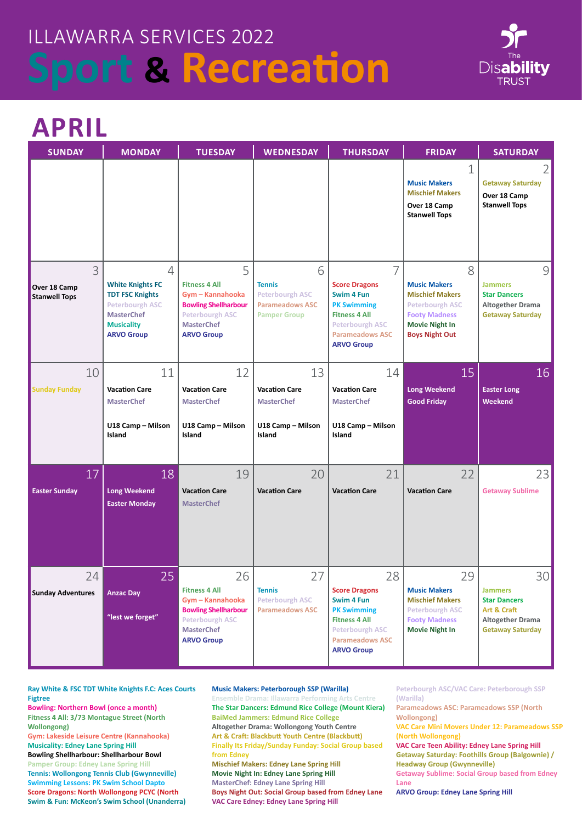

### **APRIL**

| <b>SUNDAY</b>                                          | <b>MONDAY</b>                                                                                                                                                | <b>TUESDAY</b>                                                                                                                                    | <b>WEDNESDAY</b>                                                                              | <b>THURSDAY</b>                                                                                                                                                             | <b>FRIDAY</b>                                                                                                                                          | <b>SATURDAY</b>                                                                                              |
|--------------------------------------------------------|--------------------------------------------------------------------------------------------------------------------------------------------------------------|---------------------------------------------------------------------------------------------------------------------------------------------------|-----------------------------------------------------------------------------------------------|-----------------------------------------------------------------------------------------------------------------------------------------------------------------------------|--------------------------------------------------------------------------------------------------------------------------------------------------------|--------------------------------------------------------------------------------------------------------------|
|                                                        |                                                                                                                                                              |                                                                                                                                                   |                                                                                               |                                                                                                                                                                             | 1<br><b>Music Makers</b><br><b>Mischief Makers</b><br>Over 18 Camp<br><b>Stanwell Tops</b>                                                             | 2<br><b>Getaway Saturday</b><br>Over 18 Camp<br><b>Stanwell Tops</b>                                         |
| $\overline{3}$<br>Over 18 Camp<br><b>Stanwell Tops</b> | $\overline{4}$<br><b>White Knights FC</b><br><b>TDT FSC Knights</b><br><b>Peterbourgh ASC</b><br><b>MasterChef</b><br><b>Musicality</b><br><b>ARVO Group</b> | 5<br><b>Fitness 4 All</b><br>Gym - Kannahooka<br><b>Bowling Shellharbour</b><br><b>Peterbourgh ASC</b><br><b>MasterChef</b><br><b>ARVO Group</b>  | 6<br><b>Tennis</b><br><b>Peterbourgh ASC</b><br><b>Parameadows ASC</b><br><b>Pamper Group</b> | $\overline{7}$<br><b>Score Dragons</b><br>Swim 4 Fun<br><b>PK Swimming</b><br><b>Fitness 4 All</b><br><b>Peterbourgh ASC</b><br><b>Parameadows ASC</b><br><b>ARVO Group</b> | 8<br><b>Music Makers</b><br><b>Mischief Makers</b><br><b>Peterbourgh ASC</b><br><b>Footy Madness</b><br><b>Movie Night In</b><br><b>Boys Night Out</b> | $\mathcal{G}$<br><b>Jammers</b><br><b>Star Dancers</b><br><b>Altogether Drama</b><br><b>Getaway Saturday</b> |
| 10                                                     | 11                                                                                                                                                           | 12                                                                                                                                                | 13                                                                                            | 14                                                                                                                                                                          | 15                                                                                                                                                     | 16                                                                                                           |
| <b>Sunday Funday</b>                                   | <b>Vacation Care</b><br><b>MasterChef</b>                                                                                                                    | <b>Vacation Care</b><br><b>MasterChef</b>                                                                                                         | <b>Vacation Care</b><br><b>MasterChef</b>                                                     | <b>Vacation Care</b><br><b>MasterChef</b>                                                                                                                                   | <b>Long Weekend</b><br><b>Good Friday</b>                                                                                                              | <b>Easter Long</b><br>Weekend                                                                                |
|                                                        | U18 Camp - Milson<br>Island                                                                                                                                  | U18 Camp - Milson<br>Island                                                                                                                       | U18 Camp - Milson<br>Island                                                                   | U18 Camp - Milson<br>Island                                                                                                                                                 |                                                                                                                                                        |                                                                                                              |
| 17                                                     | 18                                                                                                                                                           | 19                                                                                                                                                | 20                                                                                            | 21                                                                                                                                                                          | 22                                                                                                                                                     | 23                                                                                                           |
| <b>Easter Sunday</b>                                   | <b>Long Weekend</b><br><b>Easter Monday</b>                                                                                                                  | <b>Vacation Care</b><br><b>MasterChef</b>                                                                                                         | <b>Vacation Care</b>                                                                          | <b>Vacation Care</b>                                                                                                                                                        | <b>Vacation Care</b>                                                                                                                                   | <b>Getaway Sublime</b>                                                                                       |
| 24<br><b>Sunday Adventures</b>                         | 25<br><b>Anzac Day</b><br>"lest we forget"                                                                                                                   | 26<br><b>Fitness 4 All</b><br>Gym - Kannahooka<br><b>Bowling Shellharbour</b><br><b>Peterbourgh ASC</b><br><b>MasterChef</b><br><b>ARVO Group</b> | 27<br><b>Tennis</b><br><b>Peterbourgh ASC</b><br><b>Parameadows ASC</b>                       | 28<br><b>Score Dragons</b><br>Swim 4 Fun<br><b>PK Swimming</b><br><b>Fitness 4 All</b><br><b>Peterbourgh ASC</b><br><b>Parameadows ASC</b><br><b>ARVO Group</b>             | 29<br><b>Music Makers</b><br><b>Mischief Makers</b><br><b>Peterbourgh ASC</b><br><b>Footy Madness</b><br><b>Movie Night In</b>                         | 30<br><b>Jammers</b><br><b>Star Dancers</b><br>Art & Craft<br>Altogether Drama<br><b>Getaway Saturday</b>    |

**Ray White & FSC TDT White Knights F.C: Aces Courts Figtree**

**Bowling: Northern Bowl (once a month) Fitness 4 All: 3/73 Montague Street (North Wollongong)** 

**Gym: Lakeside Leisure Centre (Kannahooka) Musicality: Edney Lane Spring Hill** 

**Bowling Shellharbour: Shellharbour Bowl Pamper Group: Edney Lane Spring Hill Tennis: Wollongong Tennis Club (Gwynneville) Swimming Lessons: PK Swim School Dapto Score Dragons: North Wollongong PCYC (North Swim & Fun: McKeon's Swim School (Unanderra)**

### **Music Makers: Peterborough SSP (Warilla)**

**Ensemble Drama: Illawarra Performing Arts Centre The Star Dancers: Edmund Rice College (Mount Kiera) BaiMed Jammers: Edmund Rice College Altogether Drama: Wollongong Youth Centre Art & Craft: Blackbutt Youth Centre (Blackbutt) Finally Its Friday/Sunday Funday: Social Group based from Edney Mischief Makers: Edney Lane Spring Hill Movie Night In: Edney Lane Spring Hill MasterChef: Edney Lane Spring Hill Boys Night Out: Social Group based from Edney Lane VAC Care Edney: Edney Lane Spring Hill**

**Peterbourgh ASC/VAC Care: Peterborough SSP (Warilla)**

**Parameadows ASC: Parameadows SSP (North Wollongong)** 

**VAC Care Mini Movers Under 12: Parameadows SSP (North Wollongong)**

**VAC Care Teen Ability: Edney Lane Spring Hill Getaway Saturday: Foothills Group (Balgownie) / Headway Group (Gwynneville)**

**Getaway Sublime: Social Group based from Edney Lane**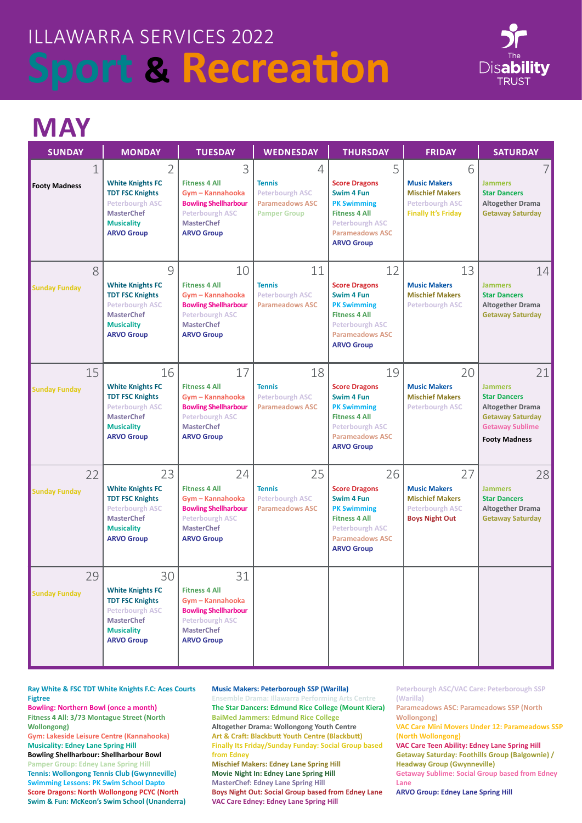

## **MAY**

| <b>SUNDAY</b>                       | <b>MONDAY</b>                                                                                                                                    | <b>TUESDAY</b>                                                                                                                                    | <b>WEDNESDAY</b>                                                                              | <b>THURSDAY</b>                                                                                                                                                 | <b>FRIDAY</b>                                                                                              | <b>SATURDAY</b>                                                                                                                                     |
|-------------------------------------|--------------------------------------------------------------------------------------------------------------------------------------------------|---------------------------------------------------------------------------------------------------------------------------------------------------|-----------------------------------------------------------------------------------------------|-----------------------------------------------------------------------------------------------------------------------------------------------------------------|------------------------------------------------------------------------------------------------------------|-----------------------------------------------------------------------------------------------------------------------------------------------------|
| $\mathbf 1$<br><b>Footy Madness</b> | 2<br><b>White Knights FC</b><br><b>TDT FSC Knights</b><br><b>Peterbourgh ASC</b><br><b>MasterChef</b><br><b>Musicality</b><br><b>ARVO Group</b>  | 3<br><b>Fitness 4 All</b><br>Gym - Kannahooka<br><b>Bowling Shellharbour</b><br><b>Peterbourgh ASC</b><br><b>MasterChef</b><br><b>ARVO Group</b>  | 4<br><b>Tennis</b><br><b>Peterbourgh ASC</b><br><b>Parameadows ASC</b><br><b>Pamper Group</b> | 5<br><b>Score Dragons</b><br>Swim 4 Fun<br><b>PK Swimming</b><br><b>Fitness 4 All</b><br><b>Peterbourgh ASC</b><br><b>Parameadows ASC</b><br><b>ARVO Group</b>  | 6<br><b>Music Makers</b><br><b>Mischief Makers</b><br><b>Peterbourgh ASC</b><br><b>Finally It's Friday</b> | <b>Jammers</b><br><b>Star Dancers</b><br><b>Altogether Drama</b><br><b>Getaway Saturday</b>                                                         |
| 8<br><b>Sunday Funday</b>           | 9<br><b>White Knights FC</b><br><b>TDT FSC Knights</b><br><b>Peterbourgh ASC</b><br><b>MasterChef</b><br><b>Musicality</b><br><b>ARVO Group</b>  | 10<br><b>Fitness 4 All</b><br>Gym - Kannahooka<br><b>Bowling Shellharbour</b><br>Peterbourgh ASC<br><b>MasterChef</b><br><b>ARVO Group</b>        | 11<br><b>Tennis</b><br><b>Peterbourgh ASC</b><br><b>Parameadows ASC</b>                       | 12<br><b>Score Dragons</b><br>Swim 4 Fun<br><b>PK Swimming</b><br><b>Fitness 4 All</b><br><b>Peterbourgh ASC</b><br><b>Parameadows ASC</b><br><b>ARVO Group</b> | 13<br><b>Music Makers</b><br><b>Mischief Makers</b><br><b>Peterbourgh ASC</b>                              | 14<br><b>Jammers</b><br><b>Star Dancers</b><br><b>Altogether Drama</b><br><b>Getaway Saturday</b>                                                   |
| 15<br><b>Sunday Funday</b>          | 16<br><b>White Knights FC</b><br><b>TDT FSC Knights</b><br><b>Peterbourgh ASC</b><br><b>MasterChef</b><br><b>Musicality</b><br><b>ARVO Group</b> | 17<br><b>Fitness 4 All</b><br>Gym - Kannahooka<br><b>Bowling Shellharbour</b><br><b>Peterbourgh ASC</b><br><b>MasterChef</b><br><b>ARVO Group</b> | 18<br><b>Tennis</b><br><b>Peterbourgh ASC</b><br><b>Parameadows ASC</b>                       | 19<br><b>Score Dragons</b><br>Swim 4 Fun<br><b>PK Swimming</b><br><b>Fitness 4 All</b><br><b>Peterbourgh ASC</b><br><b>Parameadows ASC</b><br><b>ARVO Group</b> | 20<br><b>Music Makers</b><br><b>Mischief Makers</b><br><b>Peterbourgh ASC</b>                              | 21<br><b>Jammers</b><br><b>Star Dancers</b><br><b>Altogether Drama</b><br><b>Getaway Saturday</b><br><b>Getaway Sublime</b><br><b>Footy Madness</b> |
| 22<br><b>Sunday Funday</b>          | 23<br><b>White Knights FC</b><br><b>TDT FSC Knights</b><br><b>Peterbourgh ASC</b><br><b>MasterChef</b><br><b>Musicality</b><br><b>ARVO Group</b> | 24<br><b>Fitness 4 All</b><br>Gym - Kannahooka<br><b>Bowling Shellharbour</b><br><b>Peterbourgh ASC</b><br><b>MasterChef</b><br><b>ARVO Group</b> | 25<br><b>Tennis</b><br><b>Peterbourgh ASC</b><br><b>Parameadows ASC</b>                       | 26<br><b>Score Dragons</b><br>Swim 4 Fun<br><b>PK Swimming</b><br><b>Fitness 4 All</b><br><b>Peterbourgh ASC</b><br><b>Parameadows ASC</b><br><b>ARVO Group</b> | 27<br><b>Music Makers</b><br><b>Mischief Makers</b><br><b>Peterbourgh ASC</b><br><b>Boys Night Out</b>     | 28<br><b>Jammers</b><br><b>Star Dancers</b><br><b>Altogether Drama</b><br><b>Getaway Saturday</b>                                                   |
| 29<br><b>Sunday Funday</b>          | 30<br><b>White Knights FC</b><br><b>TDT FSC Knights</b><br><b>Peterbourgh ASC</b><br><b>MasterChef</b><br><b>Musicality</b><br><b>ARVO Group</b> | 31<br><b>Fitness 4 All</b><br>Gym - Kannahooka<br><b>Bowling Shellharbour</b><br>Peterbourgh ASC<br><b>MasterChef</b><br><b>ARVO Group</b>        |                                                                                               |                                                                                                                                                                 |                                                                                                            |                                                                                                                                                     |

**Ray White & FSC TDT White Knights F.C: Aces Courts Figtree**

**Bowling: Northern Bowl (once a month) Fitness 4 All: 3/73 Montague Street (North Wollongong)** 

**Gym: Lakeside Leisure Centre (Kannahooka) Musicality: Edney Lane Spring Hill** 

**Bowling Shellharbour: Shellharbour Bowl Pamper Group: Edney Lane Spring Hill Tennis: Wollongong Tennis Club (Gwynneville) Swimming Lessons: PK Swim School Dapto Score Dragons: North Wollongong PCYC (North Swim & Fun: McKeon's Swim School (Unanderra)**

#### **Music Makers: Peterborough SSP (Warilla)**

**Ensemble Drama: Illawarra Performing Arts Centre The Star Dancers: Edmund Rice College (Mount Kiera) BaiMed Jammers: Edmund Rice College Altogether Drama: Wollongong Youth Centre Art & Craft: Blackbutt Youth Centre (Blackbutt) Finally Its Friday/Sunday Funday: Social Group based from Edney Mischief Makers: Edney Lane Spring Hill Movie Night In: Edney Lane Spring Hill MasterChef: Edney Lane Spring Hill Boys Night Out: Social Group based from Edney Lane VAC Care Edney: Edney Lane Spring Hill**

**Peterbourgh ASC/VAC Care: Peterborough SSP (Warilla)**

**Parameadows ASC: Parameadows SSP (North Wollongong)** 

**VAC Care Mini Movers Under 12: Parameadows SSP (North Wollongong)**

**VAC Care Teen Ability: Edney Lane Spring Hill Getaway Saturday: Foothills Group (Balgownie) / Headway Group (Gwynneville)**

**Getaway Sublime: Social Group based from Edney Lane**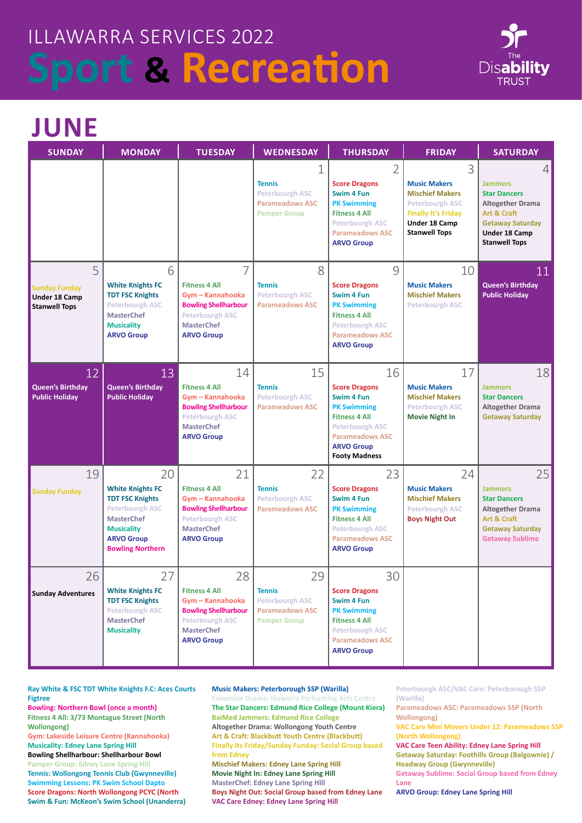

### **JUNE**

| <b>SUNDAY</b>                                                      | <b>MONDAY</b>                                                                                                                                                               | <b>TUESDAY</b>                                                                                                                                    | <b>WEDNESDAY</b>                                                                               | <b>THURSDAY</b>                                                                                                                                                                         | <b>FRIDAY</b>                                                                                                                                       | <b>SATURDAY</b>                                                                                                                                                 |
|--------------------------------------------------------------------|-----------------------------------------------------------------------------------------------------------------------------------------------------------------------------|---------------------------------------------------------------------------------------------------------------------------------------------------|------------------------------------------------------------------------------------------------|-----------------------------------------------------------------------------------------------------------------------------------------------------------------------------------------|-----------------------------------------------------------------------------------------------------------------------------------------------------|-----------------------------------------------------------------------------------------------------------------------------------------------------------------|
|                                                                    |                                                                                                                                                                             |                                                                                                                                                   | 1<br><b>Tennis</b><br><b>Peterbourgh ASC</b><br><b>Parameadows ASC</b><br><b>Pamper Group</b>  | $\overline{2}$<br><b>Score Dragons</b><br>Swim 4 Fun<br><b>PK Swimming</b><br><b>Fitness 4 All</b><br><b>Peterbourgh ASC</b><br><b>Parameadows ASC</b><br><b>ARVO Group</b>             | 3<br><b>Music Makers</b><br><b>Mischief Makers</b><br><b>Peterbourgh ASC</b><br><b>Finally It's Friday</b><br>Under 18 Camp<br><b>Stanwell Tops</b> | 4<br><b>Jammers</b><br><b>Star Dancers</b><br><b>Altogether Drama</b><br>Art & Craft<br><b>Getaway Saturday</b><br><b>Under 18 Camp</b><br><b>Stanwell Tops</b> |
| 5<br><b>Sunday Funday</b><br>Under 18 Camp<br><b>Stanwell Tops</b> | 6<br><b>White Knights FC</b><br><b>TDT FSC Knights</b><br><b>Peterbourgh ASC</b><br><b>MasterChef</b><br><b>Musicality</b><br><b>ARVO Group</b>                             | 7<br><b>Fitness 4 All</b><br>Gym - Kannahooka<br><b>Bowling Shellharbour</b><br><b>Peterbourgh ASC</b><br><b>MasterChef</b><br><b>ARVO Group</b>  | 8<br><b>Tennis</b><br><b>Peterbourgh ASC</b><br><b>Parameadows ASC</b>                         | 9<br><b>Score Dragons</b><br>Swim 4 Fun<br><b>PK Swimming</b><br><b>Fitness 4 All</b><br><b>Peterbourgh ASC</b><br><b>Parameadows ASC</b><br><b>ARVO Group</b>                          | 10<br><b>Music Makers</b><br><b>Mischief Makers</b><br><b>Peterbourgh ASC</b>                                                                       | 11<br><b>Queen's Birthday</b><br><b>Public Holiday</b>                                                                                                          |
| 12<br><b>Queen's Birthday</b><br><b>Public Holiday</b>             | 13<br><b>Queen's Birthday</b><br><b>Public Holiday</b>                                                                                                                      | 14<br><b>Fitness 4 All</b><br>Gym - Kannahooka<br><b>Bowling Shellharbour</b><br><b>Peterbourgh ASC</b><br><b>MasterChef</b><br><b>ARVO Group</b> | 15<br><b>Tennis</b><br><b>Peterbourgh ASC</b><br><b>Parameadows ASC</b>                        | 16<br><b>Score Dragons</b><br>Swim 4 Fun<br><b>PK Swimming</b><br><b>Fitness 4 All</b><br><b>Peterbourgh ASC</b><br><b>Parameadows ASC</b><br><b>ARVO Group</b><br><b>Footy Madness</b> | 17<br><b>Music Makers</b><br><b>Mischief Makers</b><br><b>Peterbourgh ASC</b><br><b>Movie Night In</b>                                              | 18<br><b>Jammers</b><br><b>Star Dancers</b><br><b>Altogether Drama</b><br><b>Getaway Saturday</b>                                                               |
| 19<br><b>Sunday Funday</b>                                         | 20<br><b>White Knights FC</b><br><b>TDT FSC Knights</b><br><b>Peterbourgh ASC</b><br><b>MasterChef</b><br><b>Musicality</b><br><b>ARVO Group</b><br><b>Bowling Northern</b> | 21<br><b>Fitness 4 All</b><br>Gym - Kannahooka<br><b>Bowling Shellharbour</b><br><b>Peterbourgh ASC</b><br><b>MasterChef</b><br><b>ARVO Group</b> | 22<br><b>Tennis</b><br><b>Peterbourgh ASC</b><br><b>Parameadows ASC</b>                        | 23<br><b>Score Dragons</b><br>Swim 4 Fun<br><b>PK Swimming</b><br><b>Fitness 4 All</b><br><b>Peterbourgh ASC</b><br><b>Parameadows ASC</b><br><b>ARVO Group</b>                         | 24<br><b>Music Makers</b><br><b>Mischief Makers</b><br><b>Peterbourgh ASC</b><br><b>Boys Night Out</b>                                              | 25<br><b>Jammers</b><br><b>Star Dancers</b><br><b>Altogether Drama</b><br>Art & Craft<br><b>Getaway Saturday</b><br><b>Getaway Sublime</b>                      |
| 26<br><b>Sunday Adventures</b>                                     | 27<br><b>White Knights FC</b><br><b>TDT FSC Knights</b><br><b>Peterbourgh ASC</b><br><b>MasterChef</b><br><b>Musicality</b>                                                 | 28<br><b>Fitness 4 All</b><br>Gym - Kannahooka<br><b>Bowling Shellharbour</b><br><b>Peterbourgh ASC</b><br><b>MasterChef</b><br><b>ARVO Group</b> | 29<br><b>Tennis</b><br><b>Peterbourgh ASC</b><br><b>Parameadows ASC</b><br><b>Pamper Group</b> | 30<br><b>Score Dragons</b><br>Swim 4 Fun<br><b>PK Swimming</b><br><b>Fitness 4 All</b><br><b>Peterbourgh ASC</b><br><b>Parameadows ASC</b><br><b>ARVO Group</b>                         |                                                                                                                                                     |                                                                                                                                                                 |

**Ray White & FSC TDT White Knights F.C: Aces Courts Figtree**

**Bowling: Northern Bowl (once a month) Fitness 4 All: 3/73 Montague Street (North Wollongong)** 

**Gym: Lakeside Leisure Centre (Kannahooka) Musicality: Edney Lane Spring Hill** 

**Bowling Shellharbour: Shellharbour Bowl Pamper Group: Edney Lane Spring Hill Tennis: Wollongong Tennis Club (Gwynneville) Swimming Lessons: PK Swim School Dapto Score Dragons: North Wollongong PCYC (North Swim & Fun: McKeon's Swim School (Unanderra)**

#### **Music Makers: Peterborough SSP (Warilla)**

**Ensemble Drama: Illawarra Performing Arts Centre The Star Dancers: Edmund Rice College (Mount Kiera) BaiMed Jammers: Edmund Rice College Altogether Drama: Wollongong Youth Centre Art & Craft: Blackbutt Youth Centre (Blackbutt) Finally Its Friday/Sunday Funday: Social Group based from Edney Mischief Makers: Edney Lane Spring Hill Movie Night In: Edney Lane Spring Hill MasterChef: Edney Lane Spring Hill Boys Night Out: Social Group based from Edney Lane VAC Care Edney: Edney Lane Spring Hill**

**Peterbourgh ASC/VAC Care: Peterborough SSP (Warilla)**

**Parameadows ASC: Parameadows SSP (North Wollongong)** 

**VAC Care Mini Movers Under 12: Parameadows SSP (North Wollongong)**

**VAC Care Teen Ability: Edney Lane Spring Hill Getaway Saturday: Foothills Group (Balgownie) / Headway Group (Gwynneville)**

**Getaway Sublime: Social Group based from Edney Lane**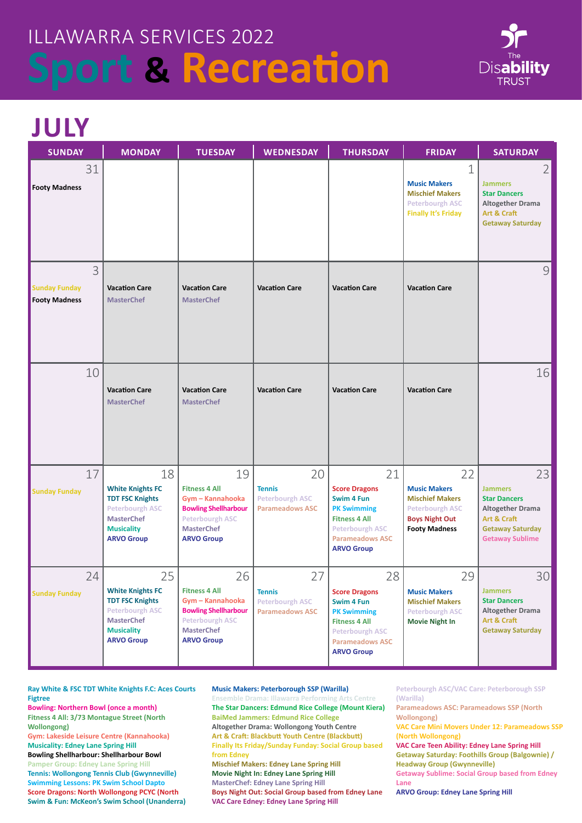

## **JULY**

| <b>SUNDAY</b>                                     | <b>MONDAY</b>                                                                                                                                    | <b>TUESDAY</b>                                                                                                                                    | <b>WEDNESDAY</b>                                                        | <b>THURSDAY</b>                                                                                                                                                 | <b>FRIDAY</b>                                                                                                                  | <b>SATURDAY</b>                                                                                                                            |
|---------------------------------------------------|--------------------------------------------------------------------------------------------------------------------------------------------------|---------------------------------------------------------------------------------------------------------------------------------------------------|-------------------------------------------------------------------------|-----------------------------------------------------------------------------------------------------------------------------------------------------------------|--------------------------------------------------------------------------------------------------------------------------------|--------------------------------------------------------------------------------------------------------------------------------------------|
| 31<br><b>Footy Madness</b>                        |                                                                                                                                                  |                                                                                                                                                   |                                                                         |                                                                                                                                                                 | $\mathbf 1$<br><b>Music Makers</b><br><b>Mischief Makers</b><br><b>Peterbourgh ASC</b><br><b>Finally It's Friday</b>           | $\overline{2}$<br><b>Jammers</b><br><b>Star Dancers</b><br><b>Altogether Drama</b><br>Art & Craft<br><b>Getaway Saturday</b>               |
| 3<br><b>Sunday Funday</b><br><b>Footy Madness</b> | <b>Vacation Care</b><br><b>MasterChef</b>                                                                                                        | <b>Vacation Care</b><br><b>MasterChef</b>                                                                                                         | <b>Vacation Care</b>                                                    | <b>Vacation Care</b>                                                                                                                                            | <b>Vacation Care</b>                                                                                                           | 9                                                                                                                                          |
| 10                                                | <b>Vacation Care</b><br><b>MasterChef</b>                                                                                                        | <b>Vacation Care</b><br><b>MasterChef</b>                                                                                                         | <b>Vacation Care</b>                                                    | <b>Vacation Care</b>                                                                                                                                            | <b>Vacation Care</b>                                                                                                           | 16                                                                                                                                         |
| 17<br><b>Sunday Funday</b>                        | 18<br><b>White Knights FC</b><br><b>TDT FSC Knights</b><br><b>Peterbourgh ASC</b><br><b>MasterChef</b><br><b>Musicality</b><br><b>ARVO Group</b> | 19<br><b>Fitness 4 All</b><br>Gym - Kannahooka<br><b>Bowling Shellharbour</b><br><b>Peterbourgh ASC</b><br><b>MasterChef</b><br><b>ARVO Group</b> | 20<br><b>Tennis</b><br><b>Peterbourgh ASC</b><br><b>Parameadows ASC</b> | 21<br><b>Score Dragons</b><br>Swim 4 Fun<br><b>PK Swimming</b><br><b>Fitness 4 All</b><br><b>Peterbourgh ASC</b><br><b>Parameadows ASC</b><br><b>ARVO Group</b> | 22<br><b>Music Makers</b><br><b>Mischief Makers</b><br><b>Peterbourgh ASC</b><br><b>Boys Night Out</b><br><b>Footy Madness</b> | 23<br><b>Jammers</b><br><b>Star Dancers</b><br><b>Altogether Drama</b><br>Art & Craft<br><b>Getaway Saturday</b><br><b>Getaway Sublime</b> |
| 24<br><b>Sunday Funday</b>                        | 25<br><b>White Knights FC</b><br><b>TDT FSC Knights</b><br><b>Peterbourgh ASC</b><br><b>MasterChef</b><br><b>Musicality</b><br><b>ARVO Group</b> | 26<br><b>Fitness 4 All</b><br>Gym - Kannahooka<br><b>Bowling Shellharbour</b><br><b>Peterbourgh ASC</b><br><b>MasterChef</b><br><b>ARVO Group</b> | 27<br><b>Tennis</b><br><b>Peterbourgh ASC</b><br><b>Parameadows ASC</b> | 28<br><b>Score Dragons</b><br>Swim 4 Fun<br><b>PK Swimming</b><br><b>Fitness 4 All</b><br><b>Peterbourgh ASC</b><br><b>Parameadows ASC</b><br><b>ARVO Group</b> | 29<br><b>Music Makers</b><br><b>Mischief Makers</b><br><b>Peterbourgh ASC</b><br><b>Movie Night In</b>                         | 30<br><b>Jammers</b><br><b>Star Dancers</b><br><b>Altogether Drama</b><br>Art & Craft<br><b>Getaway Saturday</b>                           |

**Ray White & FSC TDT White Knights F.C: Aces Courts Figtree**

**Bowling: Northern Bowl (once a month) Fitness 4 All: 3/73 Montague Street (North Wollongong)** 

**Gym: Lakeside Leisure Centre (Kannahooka) Musicality: Edney Lane Spring Hill** 

**Bowling Shellharbour: Shellharbour Bowl Pamper Group: Edney Lane Spring Hill Tennis: Wollongong Tennis Club (Gwynneville) Swimming Lessons: PK Swim School Dapto Score Dragons: North Wollongong PCYC (North Swim & Fun: McKeon's Swim School (Unanderra)**

#### **Music Makers: Peterborough SSP (Warilla)**

**Ensemble Drama: Illawarra Performing Arts Centre The Star Dancers: Edmund Rice College (Mount Kiera) BaiMed Jammers: Edmund Rice College Altogether Drama: Wollongong Youth Centre Art & Craft: Blackbutt Youth Centre (Blackbutt) Finally Its Friday/Sunday Funday: Social Group based from Edney Mischief Makers: Edney Lane Spring Hill Movie Night In: Edney Lane Spring Hill MasterChef: Edney Lane Spring Hill Boys Night Out: Social Group based from Edney Lane VAC Care Edney: Edney Lane Spring Hill**

**Peterbourgh ASC/VAC Care: Peterborough SSP (Warilla)**

**Parameadows ASC: Parameadows SSP (North Wollongong)** 

**VAC Care Mini Movers Under 12: Parameadows SSP (North Wollongong)**

**VAC Care Teen Ability: Edney Lane Spring Hill Getaway Saturday: Foothills Group (Balgownie) / Headway Group (Gwynneville)**

**Getaway Sublime: Social Group based from Edney Lane**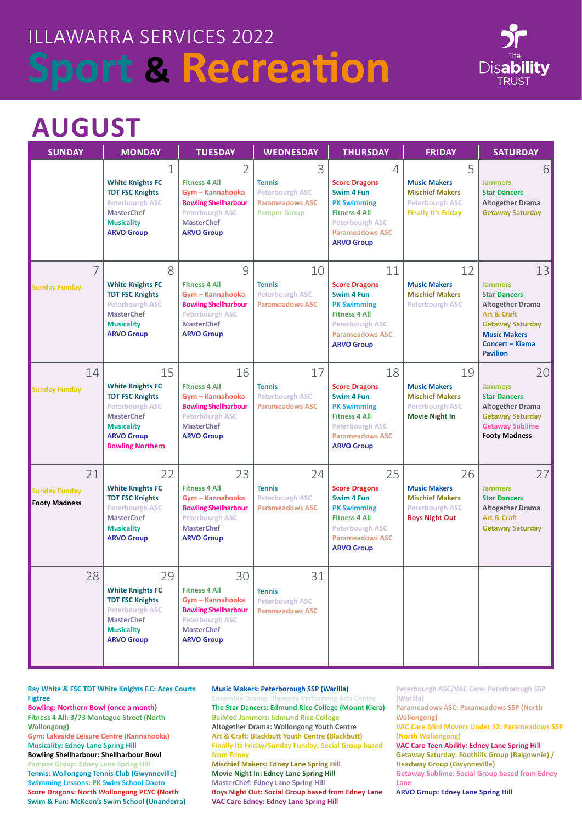

## **AUGUST**

| <b>SUNDAY</b>                                      | <b>MONDAY</b>                                                                                                                                                               | <b>TUESDAY</b>                                                                                                                                    | <b>WEDNESDAY</b>                                                                              | <b>THURSDAY</b>                                                                                                                                                 | <b>FRIDAY</b>                                                                                              | <b>SATURDAY</b>                                                                                                                                                               |
|----------------------------------------------------|-----------------------------------------------------------------------------------------------------------------------------------------------------------------------------|---------------------------------------------------------------------------------------------------------------------------------------------------|-----------------------------------------------------------------------------------------------|-----------------------------------------------------------------------------------------------------------------------------------------------------------------|------------------------------------------------------------------------------------------------------------|-------------------------------------------------------------------------------------------------------------------------------------------------------------------------------|
|                                                    | 1<br><b>White Knights FC</b><br><b>TDT FSC Knights</b><br><b>Peterbourgh ASC</b><br><b>MasterChef</b><br><b>Musicality</b><br><b>ARVO Group</b>                             | 2<br><b>Fitness 4 All</b><br>Gym - Kannahooka<br><b>Bowling Shellharbour</b><br><b>Peterbourgh ASC</b><br><b>MasterChef</b><br><b>ARVO Group</b>  | 3<br><b>Tennis</b><br><b>Peterbourgh ASC</b><br><b>Parameadows ASC</b><br><b>Pamper Group</b> | 4<br><b>Score Dragons</b><br>Swim 4 Fun<br><b>PK Swimming</b><br><b>Fitness 4 All</b><br><b>Peterbourgh ASC</b><br><b>Parameadows ASC</b><br><b>ARVO Group</b>  | 5<br><b>Music Makers</b><br><b>Mischief Makers</b><br><b>Peterbourgh ASC</b><br><b>Finally It's Friday</b> | 6<br><b>Jammers</b><br><b>Star Dancers</b><br><b>Altogether Drama</b><br><b>Getaway Saturday</b>                                                                              |
| 7<br><b>Sunday Funday</b>                          | 8<br><b>White Knights FC</b><br><b>TDT FSC Knights</b><br><b>Peterbourgh ASC</b><br><b>MasterChef</b><br><b>Musicality</b><br><b>ARVO Group</b>                             | 9<br><b>Fitness 4 All</b><br>Gym - Kannahooka<br><b>Bowling Shellharbour</b><br>Peterbourgh ASC<br><b>MasterChef</b><br><b>ARVO Group</b>         | 10<br><b>Tennis</b><br><b>Peterbourgh ASC</b><br><b>Parameadows ASC</b>                       | 11<br><b>Score Dragons</b><br>Swim 4 Fun<br><b>PK Swimming</b><br><b>Fitness 4 All</b><br><b>Peterbourgh ASC</b><br><b>Parameadows ASC</b><br><b>ARVO Group</b> | 12<br><b>Music Makers</b><br><b>Mischief Makers</b><br><b>Peterbourgh ASC</b>                              | 13<br><b>Jammers</b><br><b>Star Dancers</b><br><b>Altogether Drama</b><br>Art & Craft<br><b>Getaway Saturday</b><br><b>Music Makers</b><br>Concert - Kiama<br><b>Pavilion</b> |
| 14<br><b>Sunday Funday</b>                         | 15<br><b>White Knights FC</b><br><b>TDT FSC Knights</b><br><b>Peterbourgh ASC</b><br><b>MasterChef</b><br><b>Musicality</b><br><b>ARVO Group</b><br><b>Bowling Northern</b> | 16<br><b>Fitness 4 All</b><br>Gym - Kannahooka<br><b>Bowling Shellharbour</b><br><b>Peterbourgh ASC</b><br><b>MasterChef</b><br><b>ARVO Group</b> | 17<br><b>Tennis</b><br><b>Peterbourgh ASC</b><br><b>Parameadows ASC</b>                       | 18<br><b>Score Dragons</b><br>Swim 4 Fun<br><b>PK Swimming</b><br><b>Fitness 4 All</b><br><b>Peterbourgh ASC</b><br><b>Parameadows ASC</b><br><b>ARVO Group</b> | 19<br><b>Music Makers</b><br><b>Mischief Makers</b><br><b>Peterbourgh ASC</b><br><b>Movie Night In</b>     | 20<br><b>Jammers</b><br><b>Star Dancers</b><br><b>Altogether Drama</b><br><b>Getaway Saturday</b><br><b>Getaway Sublime</b><br><b>Footy Madness</b>                           |
| 21<br><b>Sunday Funday</b><br><b>Footy Madness</b> | 22<br><b>White Knights FC</b><br><b>TDT FSC Knights</b><br><b>Peterbourgh ASC</b><br><b>MasterChef</b><br><b>Musicality</b><br><b>ARVO Group</b>                            | 23<br><b>Fitness 4 All</b><br>Gym - Kannahooka<br><b>Bowling Shellharbour</b><br><b>Peterbourgh ASC</b><br><b>MasterChef</b><br><b>ARVO Group</b> | 24<br><b>Tennis</b><br><b>Peterbourgh ASC</b><br><b>Parameadows ASC</b>                       | 25<br><b>Score Dragons</b><br>Swim 4 Fun<br><b>PK Swimming</b><br><b>Fitness 4 All</b><br><b>Peterbourgh ASC</b><br><b>Parameadows ASC</b><br><b>ARVO Group</b> | 26<br><b>Music Makers</b><br><b>Mischief Makers</b><br><b>Peterbourgh ASC</b><br><b>Boys Night Out</b>     | 27<br><b>Jammers</b><br><b>Star Dancers</b><br><b>Altogether Drama</b><br>Art & Craft<br><b>Getaway Saturday</b>                                                              |
| 28                                                 | 29<br><b>White Knights FC</b><br><b>TDT FSC Knights</b><br><b>Peterbourgh ASC</b><br><b>MasterChef</b><br><b>Musicality</b><br><b>ARVO Group</b>                            | 30<br><b>Fitness 4 All</b><br>Gym - Kannahooka<br><b>Bowling Shellharbour</b><br><b>Peterbourgh ASC</b><br><b>MasterChef</b><br><b>ARVO Group</b> | 31<br><b>Tennis</b><br><b>Peterbourgh ASC</b><br><b>Parameadows ASC</b>                       |                                                                                                                                                                 |                                                                                                            |                                                                                                                                                                               |

**Ray White & FSC TDT White Knights F.C: Aces Courts Figtree**

**Bowling: Northern Bowl (once a month) Fitness 4 All: 3/73 Montague Street (North Wollongong)** 

**Gym: Lakeside Leisure Centre (Kannahooka) Musicality: Edney Lane Spring Hill** 

**Bowling Shellharbour: Shellharbour Bowl Pamper Group: Edney Lane Spring Hill Tennis: Wollongong Tennis Club (Gwynneville) Swimming Lessons: PK Swim School Dapto Score Dragons: North Wollongong PCYC (North Swim & Fun: McKeon's Swim School (Unanderra)**

#### **Music Makers: Peterborough SSP (Warilla)**

**Ensemble Drama: Illawarra Performing Arts Centre The Star Dancers: Edmund Rice College (Mount Kiera) BaiMed Jammers: Edmund Rice College Altogether Drama: Wollongong Youth Centre Art & Craft: Blackbutt Youth Centre (Blackbutt) Finally Its Friday/Sunday Funday: Social Group based from Edney Mischief Makers: Edney Lane Spring Hill Movie Night In: Edney Lane Spring Hill MasterChef: Edney Lane Spring Hill Boys Night Out: Social Group based from Edney Lane VAC Care Edney: Edney Lane Spring Hill**

**Peterbourgh ASC/VAC Care: Peterborough SSP (Warilla)**

**Parameadows ASC: Parameadows SSP (North Wollongong)** 

**VAC Care Mini Movers Under 12: Parameadows SSP (North Wollongong)**

**VAC Care Teen Ability: Edney Lane Spring Hill Getaway Saturday: Foothills Group (Balgownie) / Headway Group (Gwynneville)**

**Getaway Sublime: Social Group based from Edney Lane**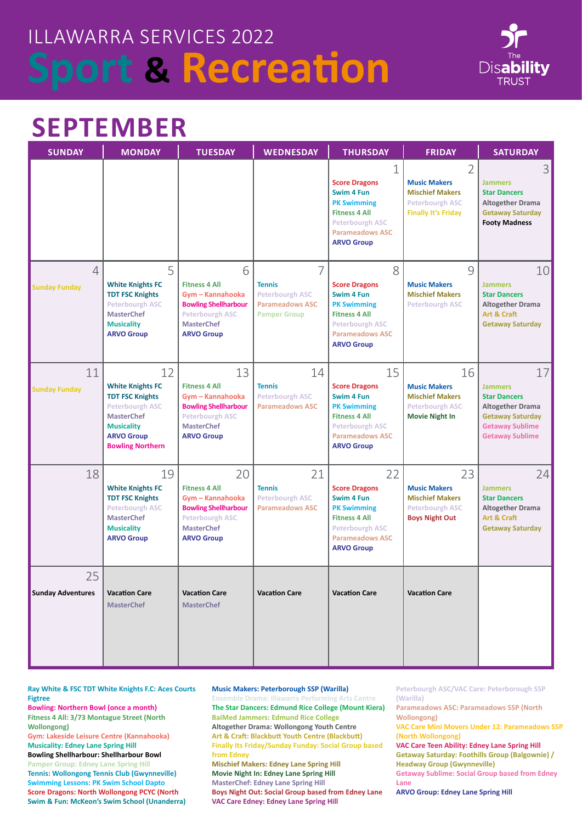

### **SEPTEMBER**

| <b>SUNDAY</b>                          | <b>MONDAY</b>                                                                                                                                                               | <b>TUESDAY</b>                                                                                                                                    | <b>WEDNESDAY</b>                                                                              | <b>THURSDAY</b>                                                                                                                                                          | <b>FRIDAY</b>                                                                                              | <b>SATURDAY</b>                                                                                                                                       |
|----------------------------------------|-----------------------------------------------------------------------------------------------------------------------------------------------------------------------------|---------------------------------------------------------------------------------------------------------------------------------------------------|-----------------------------------------------------------------------------------------------|--------------------------------------------------------------------------------------------------------------------------------------------------------------------------|------------------------------------------------------------------------------------------------------------|-------------------------------------------------------------------------------------------------------------------------------------------------------|
|                                        |                                                                                                                                                                             |                                                                                                                                                   |                                                                                               | $\mathbf 1$<br><b>Score Dragons</b><br>Swim 4 Fun<br><b>PK Swimming</b><br><b>Fitness 4 All</b><br><b>Peterbourgh ASC</b><br><b>Parameadows ASC</b><br><b>ARVO Group</b> | 2<br><b>Music Makers</b><br><b>Mischief Makers</b><br><b>Peterbourgh ASC</b><br><b>Finally It's Friday</b> | 3<br><b>Jammers</b><br><b>Star Dancers</b><br>Altogether Drama<br><b>Getaway Saturday</b><br><b>Footy Madness</b>                                     |
| $\overline{4}$<br><b>Sunday Funday</b> | 5<br><b>White Knights FC</b><br><b>TDT FSC Knights</b><br><b>Peterbourgh ASC</b><br><b>MasterChef</b><br><b>Musicality</b><br><b>ARVO Group</b>                             | 6<br><b>Fitness 4 All</b><br>Gym - Kannahooka<br><b>Bowling Shellharbour</b><br>Peterbourgh ASC<br><b>MasterChef</b><br><b>ARVO Group</b>         | 7<br><b>Tennis</b><br><b>Peterbourgh ASC</b><br><b>Parameadows ASC</b><br><b>Pamper Group</b> | 8<br><b>Score Dragons</b><br>Swim 4 Fun<br><b>PK Swimming</b><br><b>Fitness 4 All</b><br><b>Peterbourgh ASC</b><br><b>Parameadows ASC</b><br><b>ARVO Group</b>           | 9<br><b>Music Makers</b><br><b>Mischief Makers</b><br><b>Peterbourgh ASC</b>                               | 10<br><b>Jammers</b><br><b>Star Dancers</b><br><b>Altogether Drama</b><br>Art & Craft<br><b>Getaway Saturday</b>                                      |
| 11<br><b>Sunday Funday</b>             | 12<br><b>White Knights FC</b><br><b>TDT FSC Knights</b><br><b>Peterbourgh ASC</b><br><b>MasterChef</b><br><b>Musicality</b><br><b>ARVO Group</b><br><b>Bowling Northern</b> | 13<br><b>Fitness 4 All</b><br>Gym - Kannahooka<br><b>Bowling Shellharbour</b><br><b>Peterbourgh ASC</b><br><b>MasterChef</b><br><b>ARVO Group</b> | 14<br><b>Tennis</b><br><b>Peterbourgh ASC</b><br><b>Parameadows ASC</b>                       | 15<br><b>Score Dragons</b><br>Swim 4 Fun<br><b>PK Swimming</b><br><b>Fitness 4 All</b><br><b>Peterbourgh ASC</b><br><b>Parameadows ASC</b><br><b>ARVO Group</b>          | 16<br><b>Music Makers</b><br><b>Mischief Makers</b><br><b>Peterbourgh ASC</b><br><b>Movie Night In</b>     | 17<br><b>Jammers</b><br><b>Star Dancers</b><br><b>Altogether Drama</b><br><b>Getaway Saturday</b><br><b>Getaway Sublime</b><br><b>Getaway Sublime</b> |
| 18                                     | 19<br><b>White Knights FC</b><br><b>TDT FSC Knights</b><br><b>Peterbourgh ASC</b><br><b>MasterChef</b><br><b>Musicality</b><br><b>ARVO Group</b>                            | 20<br><b>Fitness 4 All</b><br>Gym - Kannahooka<br><b>Bowling Shellharbour</b><br><b>Peterbourgh ASC</b><br><b>MasterChef</b><br><b>ARVO Group</b> | 21<br><b>Tennis</b><br><b>Peterbourgh ASC</b><br><b>Parameadows ASC</b>                       | 22<br><b>Score Dragons</b><br>Swim 4 Fun<br><b>PK Swimming</b><br><b>Fitness 4 All</b><br><b>Peterbourgh ASC</b><br><b>Parameadows ASC</b><br><b>ARVO Group</b>          | 23<br><b>Music Makers</b><br><b>Mischief Makers</b><br><b>Peterbourgh ASC</b><br><b>Boys Night Out</b>     | 24<br><b>Jammers</b><br><b>Star Dancers</b><br><b>Altogether Drama</b><br>Art & Craft<br><b>Getaway Saturday</b>                                      |
| 25<br><b>Sunday Adventures</b>         | <b>Vacation Care</b><br><b>MasterChef</b>                                                                                                                                   | <b>Vacation Care</b><br><b>MasterChef</b>                                                                                                         | <b>Vacation Care</b>                                                                          | <b>Vacation Care</b>                                                                                                                                                     | <b>Vacation Care</b>                                                                                       |                                                                                                                                                       |

**Ray White & FSC TDT White Knights F.C: Aces Courts Figtree**

**Bowling: Northern Bowl (once a month) Fitness 4 All: 3/73 Montague Street (North Wollongong)** 

**Gym: Lakeside Leisure Centre (Kannahooka) Musicality: Edney Lane Spring Hill** 

**Bowling Shellharbour: Shellharbour Bowl Pamper Group: Edney Lane Spring Hill Tennis: Wollongong Tennis Club (Gwynneville) Swimming Lessons: PK Swim School Dapto Score Dragons: North Wollongong PCYC (North Swim & Fun: McKeon's Swim School (Unanderra)** **Music Makers: Peterborough SSP (Warilla)**

**Ensemble Drama: Illawarra Performing Arts Centre The Star Dancers: Edmund Rice College (Mount Kiera) BaiMed Jammers: Edmund Rice College Altogether Drama: Wollongong Youth Centre Art & Craft: Blackbutt Youth Centre (Blackbutt) Finally Its Friday/Sunday Funday: Social Group based from Edney Mischief Makers: Edney Lane Spring Hill Movie Night In: Edney Lane Spring Hill MasterChef: Edney Lane Spring Hill Boys Night Out: Social Group based from Edney Lane VAC Care Edney: Edney Lane Spring Hill**

**Peterbourgh ASC/VAC Care: Peterborough SSP (Warilla)**

**Parameadows ASC: Parameadows SSP (North Wollongong)** 

**VAC Care Mini Movers Under 12: Parameadows SSP (North Wollongong)**

**VAC Care Teen Ability: Edney Lane Spring Hill Getaway Saturday: Foothills Group (Balgownie) / Headway Group (Gwynneville)**

**Getaway Sublime: Social Group based from Edney Lane**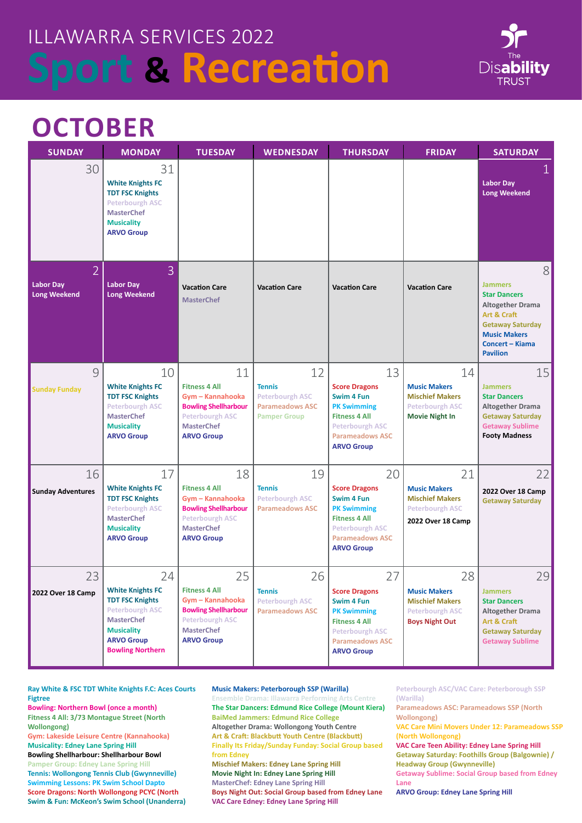

## **OCTOBER**

| <b>SUNDAY</b>                                             | <b>MONDAY</b>                                                                                                                                                               | <b>TUESDAY</b>                                                                                                                                    | <b>WEDNESDAY</b>                                                                               | <b>THURSDAY</b>                                                                                                                                                 | <b>FRIDAY</b>                                                                                          | <b>SATURDAY</b>                                                                                                                                                                     |
|-----------------------------------------------------------|-----------------------------------------------------------------------------------------------------------------------------------------------------------------------------|---------------------------------------------------------------------------------------------------------------------------------------------------|------------------------------------------------------------------------------------------------|-----------------------------------------------------------------------------------------------------------------------------------------------------------------|--------------------------------------------------------------------------------------------------------|-------------------------------------------------------------------------------------------------------------------------------------------------------------------------------------|
| 30                                                        | 31<br><b>White Knights FC</b><br><b>TDT FSC Knights</b><br><b>Peterbourgh ASC</b><br><b>MasterChef</b><br><b>Musicality</b><br><b>ARVO Group</b>                            |                                                                                                                                                   |                                                                                                |                                                                                                                                                                 |                                                                                                        | <b>Labor Day</b><br><b>Long Weekend</b>                                                                                                                                             |
| $\overline{2}$<br><b>Labor Day</b><br><b>Long Weekend</b> | $\overline{3}$<br><b>Labor Day</b><br><b>Long Weekend</b>                                                                                                                   | <b>Vacation Care</b><br><b>MasterChef</b>                                                                                                         | <b>Vacation Care</b>                                                                           | <b>Vacation Care</b>                                                                                                                                            | <b>Vacation Care</b>                                                                                   | 8<br><b>Jammers</b><br><b>Star Dancers</b><br><b>Altogether Drama</b><br>Art & Craft<br><b>Getaway Saturday</b><br><b>Music Makers</b><br><b>Concert - Kiama</b><br><b>Pavilion</b> |
| 9<br><b>Sunday Funday</b>                                 | 10<br><b>White Knights FC</b><br><b>TDT FSC Knights</b><br><b>Peterbourgh ASC</b><br><b>MasterChef</b><br><b>Musicality</b><br><b>ARVO Group</b>                            | 11<br><b>Fitness 4 All</b><br>Gym - Kannahooka<br><b>Bowling Shellharbour</b><br><b>Peterbourgh ASC</b><br><b>MasterChef</b><br><b>ARVO Group</b> | 12<br><b>Tennis</b><br><b>Peterbourgh ASC</b><br><b>Parameadows ASC</b><br><b>Pamper Group</b> | 13<br><b>Score Dragons</b><br>Swim 4 Fun<br><b>PK Swimming</b><br><b>Fitness 4 All</b><br><b>Peterbourgh ASC</b><br><b>Parameadows ASC</b><br><b>ARVO Group</b> | 14<br><b>Music Makers</b><br><b>Mischief Makers</b><br><b>Peterbourgh ASC</b><br><b>Movie Night In</b> | 15<br><b>Jammers</b><br><b>Star Dancers</b><br><b>Altogether Drama</b><br><b>Getaway Saturday</b><br><b>Getaway Sublime</b><br><b>Footy Madness</b>                                 |
| 16<br><b>Sunday Adventures</b>                            | 17<br><b>White Knights FC</b><br><b>TDT FSC Knights</b><br><b>Peterbourgh ASC</b><br><b>MasterChef</b><br><b>Musicality</b><br><b>ARVO Group</b>                            | 18<br><b>Fitness 4 All</b><br>Gym - Kannahooka<br><b>Bowling Shellharbour</b><br><b>Peterbourgh ASC</b><br><b>MasterChef</b><br><b>ARVO Group</b> | 19<br><b>Tennis</b><br><b>Peterbourgh ASC</b><br><b>Parameadows ASC</b>                        | 20<br><b>Score Dragons</b><br>Swim 4 Fun<br><b>PK Swimming</b><br><b>Fitness 4 All</b><br><b>Peterbourgh ASC</b><br><b>Parameadows ASC</b><br><b>ARVO Group</b> | 21<br><b>Music Makers</b><br><b>Mischief Makers</b><br><b>Peterbourgh ASC</b><br>2022 Over 18 Camp     | 22<br>2022 Over 18 Camp<br><b>Getaway Saturday</b>                                                                                                                                  |
| 23<br>2022 Over 18 Camp                                   | 24<br><b>White Knights FC</b><br><b>TDT FSC Knights</b><br><b>Peterbourgh ASC</b><br><b>MasterChef</b><br><b>Musicality</b><br><b>ARVO Group</b><br><b>Bowling Northern</b> | 25<br><b>Fitness 4 All</b><br>Gym - Kannahooka<br><b>Bowling Shellharbour</b><br><b>Peterbourgh ASC</b><br><b>MasterChef</b><br><b>ARVO Group</b> | 26<br><b>Tennis</b><br><b>Peterbourgh ASC</b><br><b>Parameadows ASC</b>                        | 27<br><b>Score Dragons</b><br>Swim 4 Fun<br><b>PK Swimming</b><br><b>Fitness 4 All</b><br><b>Peterbourgh ASC</b><br><b>Parameadows ASC</b><br><b>ARVO Group</b> | 28<br><b>Music Makers</b><br><b>Mischief Makers</b><br><b>Peterbourgh ASC</b><br><b>Boys Night Out</b> | 29<br><b>Jammers</b><br><b>Star Dancers</b><br>Altogether Drama<br>Art & Craft<br><b>Getaway Saturday</b><br><b>Getaway Sublime</b>                                                 |

**Ray White & FSC TDT White Knights F.C: Aces Courts Figtree**

**Bowling: Northern Bowl (once a month) Fitness 4 All: 3/73 Montague Street (North Wollongong)** 

**Gym: Lakeside Leisure Centre (Kannahooka) Musicality: Edney Lane Spring Hill** 

**Bowling Shellharbour: Shellharbour Bowl Pamper Group: Edney Lane Spring Hill Tennis: Wollongong Tennis Club (Gwynneville) Swimming Lessons: PK Swim School Dapto Score Dragons: North Wollongong PCYC (North Swim & Fun: McKeon's Swim School (Unanderra)**

#### **Music Makers: Peterborough SSP (Warilla)**

**Ensemble Drama: Illawarra Performing Arts Centre The Star Dancers: Edmund Rice College (Mount Kiera) BaiMed Jammers: Edmund Rice College Altogether Drama: Wollongong Youth Centre Art & Craft: Blackbutt Youth Centre (Blackbutt) Finally Its Friday/Sunday Funday: Social Group based from Edney Mischief Makers: Edney Lane Spring Hill Movie Night In: Edney Lane Spring Hill MasterChef: Edney Lane Spring Hill Boys Night Out: Social Group based from Edney Lane VAC Care Edney: Edney Lane Spring Hill**

**Peterbourgh ASC/VAC Care: Peterborough SSP (Warilla)**

**Parameadows ASC: Parameadows SSP (North Wollongong)** 

**VAC Care Mini Movers Under 12: Parameadows SSP (North Wollongong)**

**VAC Care Teen Ability: Edney Lane Spring Hill Getaway Saturday: Foothills Group (Balgownie) / Headway Group (Gwynneville)**

**Getaway Sublime: Social Group based from Edney Lane**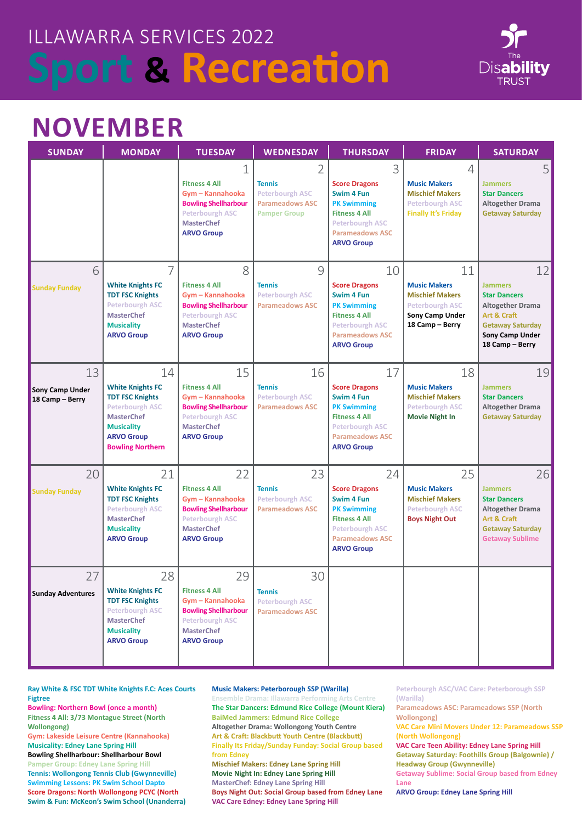

## **NOVEMBER**

| <b>SUNDAY</b>                                   | <b>MONDAY</b>                                                                                                                                                               | <b>TUESDAY</b>                                                                                                                                    | <b>WEDNESDAY</b>                                                                                           | <b>THURSDAY</b>                                                                                                                                                 | <b>FRIDAY</b>                                                                                                           | <b>SATURDAY</b>                                                                                                                                        |
|-------------------------------------------------|-----------------------------------------------------------------------------------------------------------------------------------------------------------------------------|---------------------------------------------------------------------------------------------------------------------------------------------------|------------------------------------------------------------------------------------------------------------|-----------------------------------------------------------------------------------------------------------------------------------------------------------------|-------------------------------------------------------------------------------------------------------------------------|--------------------------------------------------------------------------------------------------------------------------------------------------------|
|                                                 |                                                                                                                                                                             | 1<br><b>Fitness 4 All</b><br>Gym - Kannahooka<br><b>Bowling Shellharbour</b><br><b>Peterbourgh ASC</b><br><b>MasterChef</b><br><b>ARVO Group</b>  | $\overline{2}$<br><b>Tennis</b><br><b>Peterbourgh ASC</b><br><b>Parameadows ASC</b><br><b>Pamper Group</b> | 3<br><b>Score Dragons</b><br>Swim 4 Fun<br><b>PK Swimming</b><br><b>Fitness 4 All</b><br><b>Peterbourgh ASC</b><br><b>Parameadows ASC</b><br><b>ARVO Group</b>  | $\overline{4}$<br><b>Music Makers</b><br><b>Mischief Makers</b><br><b>Peterbourgh ASC</b><br><b>Finally It's Friday</b> | 5<br><b>Jammers</b><br><b>Star Dancers</b><br><b>Altogether Drama</b><br><b>Getaway Saturday</b>                                                       |
| 6<br><b>Sunday Funday</b>                       | 7<br><b>White Knights FC</b><br><b>TDT FSC Knights</b><br><b>Peterbourgh ASC</b><br><b>MasterChef</b><br><b>Musicality</b><br><b>ARVO Group</b>                             | 8<br><b>Fitness 4 All</b><br>Gym - Kannahooka<br><b>Bowling Shellharbour</b><br><b>Peterbourgh ASC</b><br><b>MasterChef</b><br><b>ARVO Group</b>  | 9<br><b>Tennis</b><br><b>Peterbourgh ASC</b><br><b>Parameadows ASC</b>                                     | 10<br><b>Score Dragons</b><br>Swim 4 Fun<br><b>PK Swimming</b><br><b>Fitness 4 All</b><br><b>Peterbourgh ASC</b><br><b>Parameadows ASC</b><br><b>ARVO Group</b> | 11<br><b>Music Makers</b><br><b>Mischief Makers</b><br><b>Peterbourgh ASC</b><br>Sony Camp Under<br>18 Camp - Berry     | 12<br><b>Jammers</b><br><b>Star Dancers</b><br><b>Altogether Drama</b><br>Art & Craft<br><b>Getaway Saturday</b><br>Sony Camp Under<br>18 Camp - Berry |
| 13<br><b>Sony Camp Under</b><br>18 Camp - Berry | 14<br><b>White Knights FC</b><br><b>TDT FSC Knights</b><br><b>Peterbourgh ASC</b><br><b>MasterChef</b><br><b>Musicality</b><br><b>ARVO Group</b><br><b>Bowling Northern</b> | 15<br><b>Fitness 4 All</b><br>Gym - Kannahooka<br><b>Bowling Shellharbour</b><br><b>Peterbourgh ASC</b><br><b>MasterChef</b><br><b>ARVO Group</b> | 16<br><b>Tennis</b><br><b>Peterbourgh ASC</b><br><b>Parameadows ASC</b>                                    | 17<br><b>Score Dragons</b><br>Swim 4 Fun<br><b>PK Swimming</b><br><b>Fitness 4 All</b><br><b>Peterbourgh ASC</b><br><b>Parameadows ASC</b><br><b>ARVO Group</b> | 18<br><b>Music Makers</b><br><b>Mischief Makers</b><br><b>Peterbourgh ASC</b><br><b>Movie Night In</b>                  | 19<br><b>Jammers</b><br><b>Star Dancers</b><br><b>Altogether Drama</b><br><b>Getaway Saturday</b>                                                      |
| 20<br><b>Sunday Funday</b>                      | 21<br><b>White Knights FC</b><br><b>TDT FSC Knights</b><br><b>Peterbourgh ASC</b><br><b>MasterChef</b><br><b>Musicality</b><br><b>ARVO Group</b>                            | 22<br><b>Fitness 4 All</b><br>Gym - Kannahooka<br><b>Bowling Shellharbour</b><br><b>Peterbourgh ASC</b><br><b>MasterChef</b><br><b>ARVO Group</b> | 23<br><b>Tennis</b><br><b>Peterbourgh ASC</b><br><b>Parameadows ASC</b>                                    | 24<br><b>Score Dragons</b><br>Swim 4 Fun<br><b>PK Swimming</b><br><b>Fitness 4 All</b><br><b>Peterbourgh ASC</b><br><b>Parameadows ASC</b><br><b>ARVO Group</b> | 25<br><b>Music Makers</b><br><b>Mischief Makers</b><br><b>Peterbourgh ASC</b><br><b>Boys Night Out</b>                  | 26<br><b>Jammers</b><br><b>Star Dancers</b><br><b>Altogether Drama</b><br>Art & Craft<br><b>Getaway Saturday</b><br><b>Getaway Sublime</b>             |
| 27<br><b>Sunday Adventures</b>                  | 28<br><b>White Knights FC</b><br><b>TDT FSC Knights</b><br><b>Peterbourgh ASC</b><br><b>MasterChef</b><br><b>Musicality</b><br><b>ARVO Group</b>                            | 29<br><b>Fitness 4 All</b><br>Gym - Kannahooka<br><b>Bowling Shellharbour</b><br><b>Peterbourgh ASC</b><br><b>MasterChef</b><br><b>ARVO Group</b> | 30<br><b>Tennis</b><br><b>Peterbourgh ASC</b><br><b>Parameadows ASC</b>                                    |                                                                                                                                                                 |                                                                                                                         |                                                                                                                                                        |

**Ray White & FSC TDT White Knights F.C: Aces Courts Figtree**

**Bowling: Northern Bowl (once a month) Fitness 4 All: 3/73 Montague Street (North Wollongong)** 

**Gym: Lakeside Leisure Centre (Kannahooka) Musicality: Edney Lane Spring Hill** 

**Bowling Shellharbour: Shellharbour Bowl Pamper Group: Edney Lane Spring Hill Tennis: Wollongong Tennis Club (Gwynneville) Swimming Lessons: PK Swim School Dapto Score Dragons: North Wollongong PCYC (North Swim & Fun: McKeon's Swim School (Unanderra)**

### **Music Makers: Peterborough SSP (Warilla)**

**Ensemble Drama: Illawarra Performing Arts Centre The Star Dancers: Edmund Rice College (Mount Kiera) BaiMed Jammers: Edmund Rice College Altogether Drama: Wollongong Youth Centre Art & Craft: Blackbutt Youth Centre (Blackbutt) Finally Its Friday/Sunday Funday: Social Group based from Edney Mischief Makers: Edney Lane Spring Hill Movie Night In: Edney Lane Spring Hill MasterChef: Edney Lane Spring Hill Boys Night Out: Social Group based from Edney Lane VAC Care Edney: Edney Lane Spring Hill**

**Peterbourgh ASC/VAC Care: Peterborough SSP (Warilla)**

**Parameadows ASC: Parameadows SSP (North Wollongong)** 

**VAC Care Mini Movers Under 12: Parameadows SSP (North Wollongong)**

**VAC Care Teen Ability: Edney Lane Spring Hill Getaway Saturday: Foothills Group (Balgownie) / Headway Group (Gwynneville)**

**Getaway Sublime: Social Group based from Edney Lane**